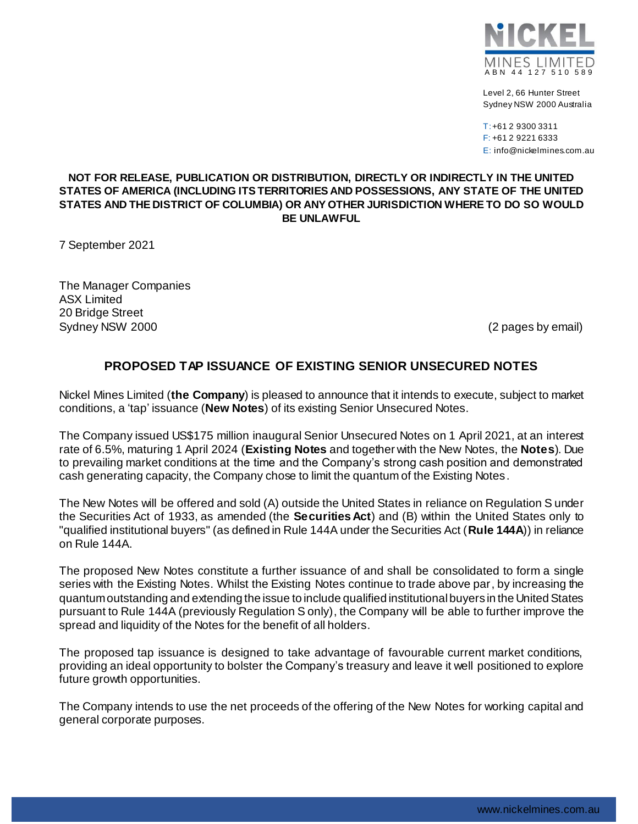

Level 2, 66 Hunter Street Sydney NSW 2000 Australia

T:+61 2 9300 3311 F: +61 2 9221 6333 E: info@nickelmines.com.au

## **NOT FOR RELEASE, PUBLICATION OR DISTRIBUTION, DIRECTLY OR INDIRECTLY IN THE UNITED STATES OF AMERICA (INCLUDING ITS TERRITORIES AND POSSESSIONS, ANY STATE OF THE UNITED STATES AND THE DISTRICT OF COLUMBIA) OR ANY OTHER JURISDICTION WHERE TO DO SO WOULD BE UNLAWFUL**

7 September 2021

The Manager Companies ASX Limited 20 Bridge Street Sydney NSW 2000 (2 pages by email)

## **PROPOSED TAP ISSUANCE OF EXISTING SENIOR UNSECURED NOTES**

Nickel Mines Limited (**the Company**) is pleased to announce that it intends to execute, subject to market conditions, a 'tap' issuance (**New Notes**) of its existing Senior Unsecured Notes.

The Company issued US\$175 million inaugural Senior Unsecured Notes on 1 April 2021, at an interest rate of 6.5%, maturing 1 April 2024 (**Existing Notes** and together with the New Notes, the **Notes**). Due to prevailing market conditions at the time and the Company's strong cash position and demonstrated cash generating capacity, the Company chose to limit the quantum of the Existing Notes.

The New Notes will be offered and sold (A) outside the United States in reliance on Regulation S under the Securities Act of 1933, as amended (the **Securities Act**) and (B) within the United States only to "qualified institutional buyers" (as defined in Rule 144A under the Securities Act (**Rule 144A**)) in reliance on Rule 144A.

The proposed New Notes constitute a further issuance of and shall be consolidated to form a single series with the Existing Notes. Whilst the Existing Notes continue to trade above par, by increasing the quantumoutstanding and extending the issue to include qualified institutional buyers in the United States pursuant to Rule 144A (previously Regulation S only), the Company will be able to further improve the spread and liquidity of the Notes for the benefit of all holders.

The proposed tap issuance is designed to take advantage of favourable current market conditions, providing an ideal opportunity to bolster the Company's treasury and leave it well positioned to explore future growth opportunities.

The Company intends to use the net proceeds of the offering of the New Notes for working capital and general corporate purposes.